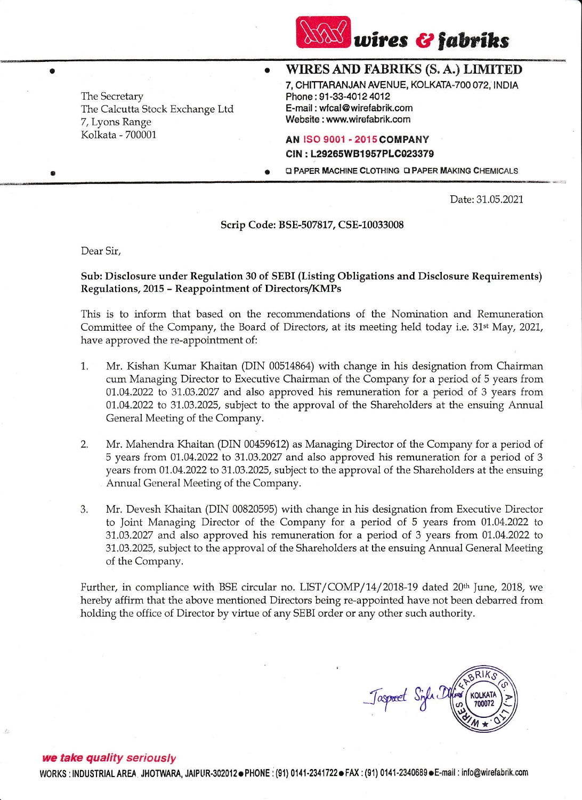

The Secretary The Calcutta Stock Exchange Ltd 7, Lyons Range Kolkata - 700001

# WIRES AND FABRIKS (S. A.) LIMITED

7, CHITTARANJAN AVENUE, KOLKATA.TOO 072, INDIA Phone: 91-33-4012 4012 E-mail: wfcal@wirefabrik.com Website : www.wirefabrik.com

## **AN ISO 9001 - 2015 COMPANY** CIN : L29265WBl 957PLC023379

**Q PAPER MACHINE CLOTHING Q PAPER MAKING CHEMICALS** 

Date: 31.05.2021

### Scrip Code: BSE-507812 CSE-10033008

 $\bullet$ 

Dear Sir,

a

a

## Sub: Disclosure under Regulation 30 of SEBI (Listing Obligations and Disclosure Requirements) Regulations, 2015 - Reappointment of Directors/KMPs

This is to inform that based on the recommendations of the Nomination and Remuneration Committee of the Company, the Board of Directors, at its meeting held today i.e. 31<sup>st</sup> May, 2021, have approved the re-appointment of:

- 1. Mr. Kishan Kumar Khaitan (DIN 00514864) with change in his designation {rom Chairman cum Managing Director to Executive Chairman of the Company for a period of 5 years from  $01.04.2022$  to 31.03.2027 and also approved his remuneration for a period of 3 years from 01.04.2022 to 31.03.2025, subject to the approval of the Shareholders at the ensuing Annual General Meeting of the Company.
- 2. Mr. Mahendra Khaitan (DIN 00459612) as Managing Director of the Company for a period of  $5$  years from 01.04.2022 to 31.03.2027 and also approved his remuneration for a period of 3 years from 01.04.2022 to 31.03.2025, subject to the approval of the Shareholders at the ensuing Annual General Meeting of the Company.
- 3. Mr. Devesh Khaitan (DIN 00820595) with change in his designation from Executive Director to Joint Managing Director of the Company for a period of 5 years from 01.04.2022 to 31.03.2027 and also approved his remuneration for a period of 3 years from 01.04.2022 to 31.03.2025, subject to the approval of the Shareholders at the ensuing Annual General Meeting of the Company.

Further, in compliance with BSE circular no. LIST/COMP/14/2018-19 dated 20<sup>th</sup> June, 2018, we hereby affirm that the above mentioned Directors being re-appointed have not been debarred from holding the office of Director by virtue of any SEBI order or any other such authority.

 $k_{\text{R}}$  KOLKATA Jaspard Sinh I  $\frac{100072}{100072}$ 

#### we take quality seriously

WORKS : INDUSTRIAL AREA , JHOTWARA, JAIPUR-302012. PHONE : (91) 0141-2341722. FAX : (91) 0141-2340689. E-mail : info@wirefabrik.com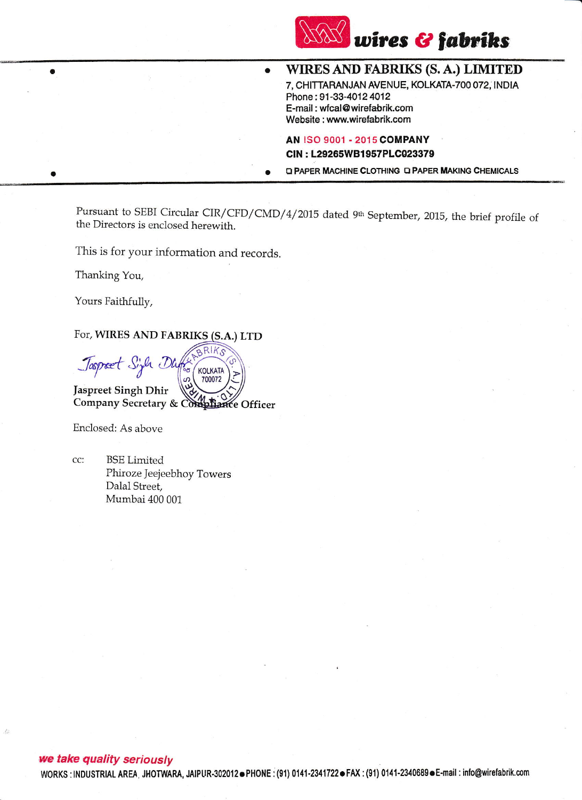

WIRES AND FABRIKS (S. A.) LIMITED 7, CHITTARANJAN AVENUE, KOLKATA.TOO 072, INDIA Phone: 91-33-4012 4012 E-mail : wfcal@wirelabrik.com Website : www.wirefabrik.com

AN ISO 9001 - 2015 COMPANY CIN : L29265W81957PLO023379

**Q PAPER MACHINE CLOTHING Q PAPER MAKING CHEMICALS** 

Pursuant to SEBI Circular CIR/CFD/CMD/4/2015 dated 9<sup>th</sup> September, 2015, the brief profile of the Directors is enclosed herewith.

 $\bullet$ 

This is for your in{ormation and records.

Thanking You,

a

a

Yours Faithfully,

For, WIRES AND FABRIKS

 $R$  $K_S$ Taspaet Sigh Dh  $\frac{1}{2}$ KOLKATA 700072 Jaspreet Singh Dhir Company Secretary & Compliance Officer

Enclosed: As above

BSE Limited CC: Phiroze Jeejeebhoy Towers Dalal Street, Mumbai 400 001

## we take quality seriously

WORKS : INDUSTRIAL AREA JHOTWARA, JAIPUR-302012 PHONE : (91) 0141-2341722 FAX : (91) 0141-2340689 E-mail : info@wirefabrik.com